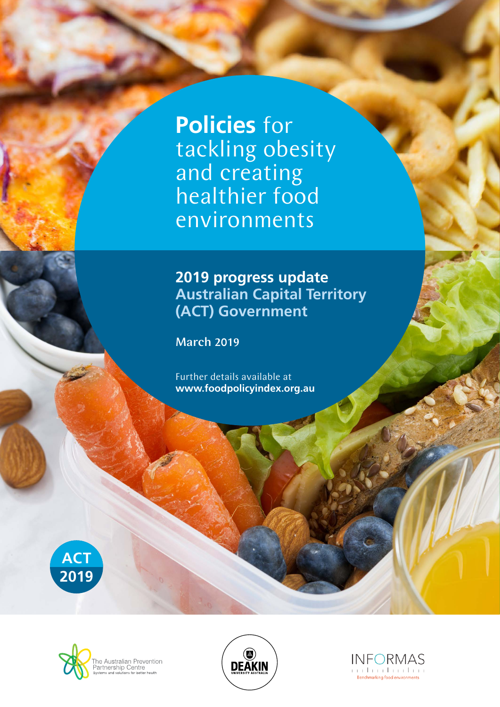**Policies** for tackling obesity and creating healthier food environments

## **2019 progress update Australian Capital Territory (ACT) Government**

March 2019

Further details available at **www.foodpolicyindex.org.au**







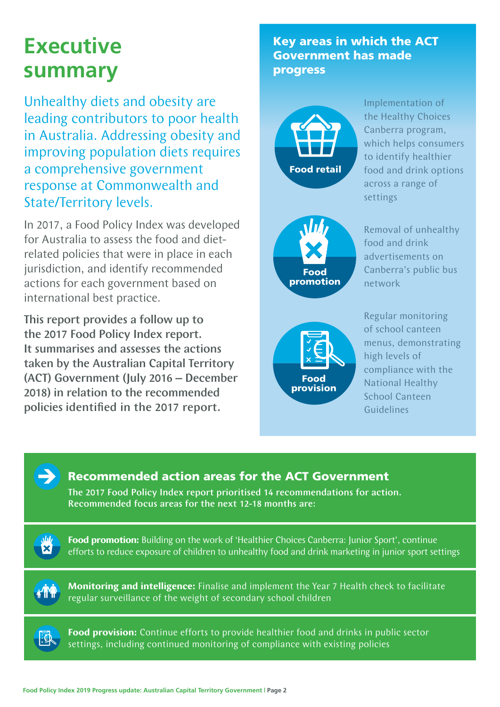# **Executive summary**

Unhealthy diets and obesity are leading contributors to poor health in Australia. Addressing obesity and improving population diets requires a comprehensive government response at Commonwealth and State/Territory levels.

In 2017, a Food Policy Index was developed for Australia to assess the food and dietrelated policies that were in place in each jurisdiction, and identify recommended actions for each government based on international best practice.

This report provides a follow up to the 2017 Food Policy Index report. It summarises and assesses the actions taken by the Australian Capital Territory (ACT) Government (July 2016 – December 2018) in relation to the recommended policies identified in the 2017 report.

Key areas in which the ACT Government has made progress



Implementation of the Healthy Choices Canberra program, which helps consumers to identify healthier food and drink options across a range of settings



Removal of unhealthy food and drink advertisements on Canberra's public bus network



Regular monitoring of school canteen menus, demonstrating high levels of compliance with the National Healthy School Canteen Guidelines

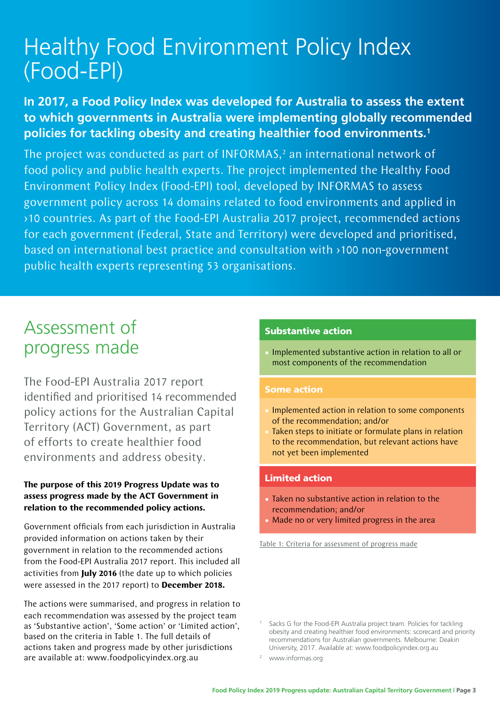# Healthy Food Environment Policy Index (Food-EPI)

### **In 2017, a Food Policy Index was developed for Australia to assess the extent to which governments in Australia were implementing globally recommended policies for tackling obesity and creating healthier food environments.1**

The project was conducted as part of INFORMAS, $<sup>2</sup>$  an international network of</sup> food policy and public health experts. The project implemented the Healthy Food Environment Policy Index (Food-EPI) tool, developed by INFORMAS to assess government policy across 14 domains related to food environments and applied in >10 countries. As part of the Food-EPI Australia 2017 project, recommended actions for each government (Federal, State and Territory) were developed and prioritised, based on international best practice and consultation with >100 non-government public health experts representing 53 organisations.

## Assessment of progress made

The Food-EPI Australia 2017 report identified and prioritised 14 recommended policy actions for the Australian Capital Territory (ACT) Government, as part of efforts to create healthier food environments and address obesity.

#### **The purpose of this 2019 Progress Update was to assess progress made by the ACT Government in relation to the recommended policy actions.**

Government officials from each jurisdiction in Australia provided information on actions taken by their government in relation to the recommended actions from the Food-EPI Australia 2017 report. This included all activities from **July 2016** (the date up to which policies were assessed in the 2017 report) to **December 2018.**

The actions were summarised, and progress in relation to each recommendation was assessed by the project team as 'Substantive action', 'Some action' or 'Limited action', based on the criteria in Table 1. The full details of actions taken and progress made by other jurisdictions are available at: www.foodpolicyindex.org.au

#### Substantive action

• Implemented substantive action in relation to all or most components of the recommendation

#### Some action

- Implemented action in relation to some components of the recommendation; and/or
- Taken steps to initiate or formulate plans in relation to the recommendation, but relevant actions have not yet been implemented

#### Limited action

- Taken no substantive action in relation to the recommendation; and/or
- Made no or very limited progress in the area

Table 1: Criteria for assessment of progress made

Sacks G for the Food-EPI Australia project team. Policies for tackling obesity and creating healthier food environments: scorecard and priority recommendations for Australian governments. Melbourne: Deakin University, 2017. Available at: www.foodpolicyindex.org.au

www.informas.org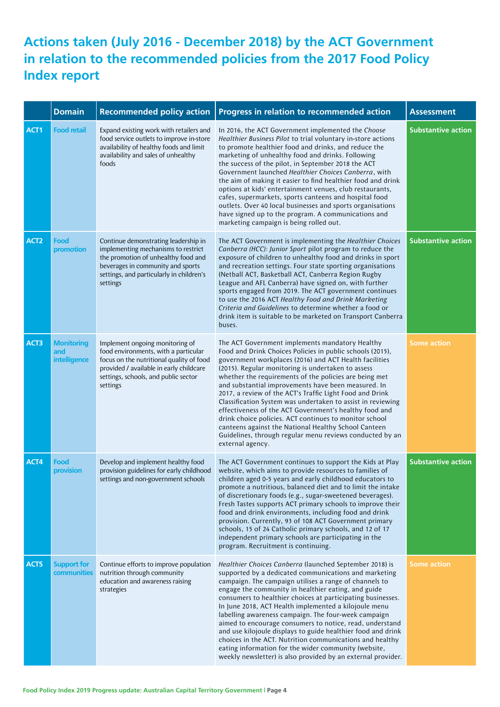### **Actions taken (July 2016 - December 2018) by the ACT Government in relation to the recommended policies from the 2017 Food Policy Index report**

|                  | <b>Domain</b>                            | <b>Recommended policy action</b>                                                                                                                                                                                   | Progress in relation to recommended action                                                                                                                                                                                                                                                                                                                                                                                                                                                                                                                                                                                                                                                                                           | <b>Assessment</b>         |
|------------------|------------------------------------------|--------------------------------------------------------------------------------------------------------------------------------------------------------------------------------------------------------------------|--------------------------------------------------------------------------------------------------------------------------------------------------------------------------------------------------------------------------------------------------------------------------------------------------------------------------------------------------------------------------------------------------------------------------------------------------------------------------------------------------------------------------------------------------------------------------------------------------------------------------------------------------------------------------------------------------------------------------------------|---------------------------|
| ACT1             | <b>Food retail</b>                       | Expand existing work with retailers and<br>food service outlets to improve in-store<br>availability of healthy foods and limit<br>availability and sales of unhealthy<br>foods                                     | In 2016, the ACT Government implemented the Choose<br>Healthier Business Pilot to trial voluntary in-store actions<br>to promote healthier food and drinks, and reduce the<br>marketing of unhealthy food and drinks. Following<br>the success of the pilot, in September 2018 the ACT<br>Government launched Healthier Choices Canberra, with<br>the aim of making it easier to find healthier food and drink<br>options at kids' entertainment venues, club restaurants,<br>cafes, supermarkets, sports canteens and hospital food<br>outlets. Over 40 local businesses and sports organisations<br>have signed up to the program. A communications and<br>marketing campaign is being rolled out.                                 | <b>Substantive action</b> |
| ACT <sub>2</sub> | Food<br>promotion                        | Continue demonstrating leadership in<br>implementing mechanisms to restrict<br>the promotion of unhealthy food and<br>beverages in community and sports<br>settings, and particularly in children's<br>settings    | The ACT Government is implementing the Healthier Choices<br>Canberra (HCC): Junior Sport pilot program to reduce the<br>exposure of children to unhealthy food and drinks in sport<br>and recreation settings. Four state sporting organisations<br>(Netball ACT, Basketball ACT, Canberra Region Rugby<br>League and AFL Canberra) have signed on, with further<br>sports engaged from 2019. The ACT government continues<br>to use the 2016 ACT Healthy Food and Drink Marketing<br>Criteria and Guidelines to determine whether a food or<br>drink item is suitable to be marketed on Transport Canberra<br>buses.                                                                                                                | <b>Substantive action</b> |
| ACT3             | <b>Monitoring</b><br>and<br>intelligence | Implement ongoing monitoring of<br>food environments, with a particular<br>focus on the nutritional quality of food<br>provided / available in early childcare<br>settings, schools, and public sector<br>settings | The ACT Government implements mandatory Healthy<br>Food and Drink Choices Policies in public schools (2015),<br>government workplaces (2016) and ACT Health facilities<br>(2015). Regular monitoring is undertaken to assess<br>whether the requirements of the policies are being met<br>and substantial improvements have been measured. In<br>2017, a review of the ACT's Traffic Light Food and Drink<br>Classification System was undertaken to assist in reviewing<br>effectiveness of the ACT Government's healthy food and<br>drink choice policies. ACT continues to monitor school<br>canteens against the National Healthy School Canteen<br>Guidelines, through regular menu reviews conducted by an<br>external agency. | <b>Some action</b>        |
| ACT4             | Food<br>provision                        | Develop and implement healthy food<br>provision guidelines for early childhood<br>settings and non-government schools                                                                                              | The ACT Government continues to support the Kids at Play<br>website, which aims to provide resources to families of<br>children aged 0-5 years and early childhood educators to<br>promote a nutritious, balanced diet and to limit the intake<br>of discretionary foods (e.g., sugar-sweetened beverages).<br>Fresh Tastes supports ACT primary schools to improve their<br>food and drink environments, including food and drink<br>provision. Currently, 93 of 108 ACT Government primary<br>schools, 15 of 24 Catholic primary schools, and 12 of 17<br>independent primary schools are participating in the<br>program. Recruitment is continuing.                                                                              | <b>Substantive action</b> |
| ACT5             | <b>Support for</b><br>communities        | Continue efforts to improve population<br>nutrition through community<br>education and awareness raising<br>strategies                                                                                             | Healthier Choices Canberra (launched September 2018) is<br>supported by a dedicated communications and marketing<br>campaign. The campaign utilises a range of channels to<br>engage the community in healthier eating, and guide<br>consumers to healthier choices at participating businesses.<br>In June 2018, ACT Health implemented a kilojoule menu<br>labelling awareness campaign. The four-week campaign<br>aimed to encourage consumers to notice, read, understand<br>and use kilojoule displays to guide healthier food and drink<br>choices in the ACT. Nutrition communications and healthy<br>eating information for the wider community (website,<br>weekly newsletter) is also provided by an external provider.    | <b>Some action</b>        |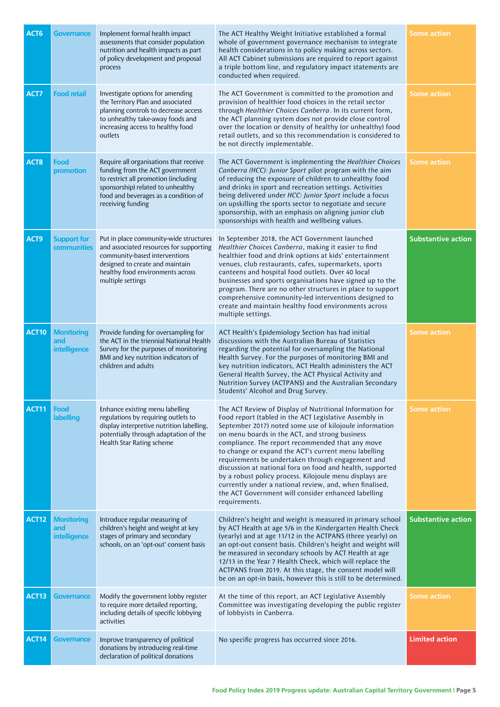| ACT <sub>6</sub>  | <b>Governance</b>                        | Implement formal health impact<br>assessments that consider population<br>nutrition and health impacts as part<br>of policy development and proposal<br>process                                                     | The ACT Healthy Weight Initiative established a formal<br>whole of government governance mechanism to integrate<br>health considerations in to policy making across sectors.<br>All ACT Cabinet submissions are required to report against<br>a triple bottom line, and regulatory impact statements are<br>conducted when required.                                                                                                                                                                                                                                                                                                                        | <b>Some action</b>        |
|-------------------|------------------------------------------|---------------------------------------------------------------------------------------------------------------------------------------------------------------------------------------------------------------------|-------------------------------------------------------------------------------------------------------------------------------------------------------------------------------------------------------------------------------------------------------------------------------------------------------------------------------------------------------------------------------------------------------------------------------------------------------------------------------------------------------------------------------------------------------------------------------------------------------------------------------------------------------------|---------------------------|
| ACT7              | <b>Food retail</b>                       | Investigate options for amending<br>the Territory Plan and associated<br>planning controls to decrease access<br>to unhealthy take-away foods and<br>increasing access to healthy food<br>outlets                   | The ACT Government is committed to the promotion and<br>provision of healthier food choices in the retail sector<br>through Healthier Choices Canberra. In its current form,<br>the ACT planning system does not provide close control<br>over the location or density of healthy (or unhealthy) food<br>retail outlets, and so this recommendation is considered to<br>be not directly implementable.                                                                                                                                                                                                                                                      | <b>Some action</b>        |
| ACT <sub>8</sub>  | Food<br>promotion                        | Require all organisations that receive<br>funding from the ACT government<br>to restrict all promotion (including<br>sponsorship) related to unhealthy<br>food and beverages as a condition of<br>receiving funding | The ACT Government is implementing the Healthier Choices<br>Canberra (HCC): Junior Sport pilot program with the aim<br>of reducing the exposure of children to unhealthy food<br>and drinks in sport and recreation settings. Activities<br>being delivered under HCC: Junior Sport include a focus<br>on upskilling the sports sector to negotiate and secure<br>sponsorship, with an emphasis on aligning junior club<br>sponsorships with health and wellbeing values.                                                                                                                                                                                   | <b>Some action</b>        |
| ACT9              | <b>Support for</b><br>communities        | Put in place community-wide structures<br>and associated resources for supporting<br>community-based interventions<br>designed to create and maintain<br>healthy food environments across<br>multiple settings      | In September 2018, the ACT Government launched<br>Healthier Choices Canberra, making it easier to find<br>healthier food and drink options at kids' entertainment<br>venues, club restaurants, cafes, supermarkets, sports<br>canteens and hospital food outlets. Over 40 local<br>businesses and sports organisations have signed up to the<br>program. There are no other structures in place to support<br>comprehensive community-led interventions designed to<br>create and maintain healthy food environments across<br>multiple settings.                                                                                                           | <b>Substantive action</b> |
| ACT <sub>10</sub> | <b>Monitoring</b><br>and<br>intelligence | Provide funding for oversampling for<br>the ACT in the triennial National Health<br>Survey for the purposes of monitoring<br>BMI and key nutrition indicators of<br>children and adults                             | ACT Health's Epidemiology Section has had initial<br>discussions with the Australian Bureau of Statistics<br>regarding the potential for oversampling the National<br>Health Survey. For the purposes of monitoring BMI and<br>key nutrition indicators, ACT Health administers the ACT<br>General Health Survey, the ACT Physical Activity and<br>Nutrition Survey (ACTPANS) and the Australian Secondary<br>Students' Alcohol and Drug Survey.                                                                                                                                                                                                            | <b>Some action</b>        |
| ACT11             | Food<br>labelling                        | Enhance existing menu labelling<br>regulations by requiring outlets to<br>display interpretive nutrition labelling,<br>potentially through adaptation of the<br>Health Star Rating scheme                           | The ACT Review of Display of Nutritional Information for<br>Food report (tabled in the ACT Legislative Assembly in<br>September 2017) noted some use of kilojoule information<br>on menu boards in the ACT, and strong business<br>compliance. The report recommended that any move<br>to change or expand the ACT's current menu labelling<br>requirements be undertaken through engagement and<br>discussion at national fora on food and health, supported<br>by a robust policy process. Kilojoule menu displays are<br>currently under a national review, and, when finalised,<br>the ACT Government will consider enhanced labelling<br>requirements. | <b>Some action</b>        |
| ACT12             | <b>Monitoring</b><br>and<br>intelligence | Introduce regular measuring of<br>children's height and weight at key<br>stages of primary and secondary<br>schools, on an 'opt-out' consent basis                                                                  | Children's height and weight is measured in primary school<br>by ACT Health at age 5/6 in the Kindergarten Health Check<br>(yearly) and at age 11/12 in the ACTPANS (three yearly) on<br>an opt-out consent basis. Children's height and weight will<br>be measured in secondary schools by ACT Health at age<br>12/13 in the Year 7 Health Check, which will replace the<br>ACTPANS from 2019. At this stage, the consent model will<br>be on an opt-in basis, however this is still to be determined.                                                                                                                                                     | <b>Substantive action</b> |
| ACT <sub>13</sub> | <b>Governance</b>                        | Modify the government lobby register<br>to require more detailed reporting,<br>including details of specific lobbying<br>activities                                                                                 | At the time of this report, an ACT Legislative Assembly<br>Committee was investigating developing the public register<br>of lobbyists in Canberra.                                                                                                                                                                                                                                                                                                                                                                                                                                                                                                          | <b>Some action</b>        |
| ACT14             | Governance                               | Improve transparency of political<br>donations by introducing real-time<br>declaration of political donations                                                                                                       | No specific progress has occurred since 2016.                                                                                                                                                                                                                                                                                                                                                                                                                                                                                                                                                                                                               | <b>Limited action</b>     |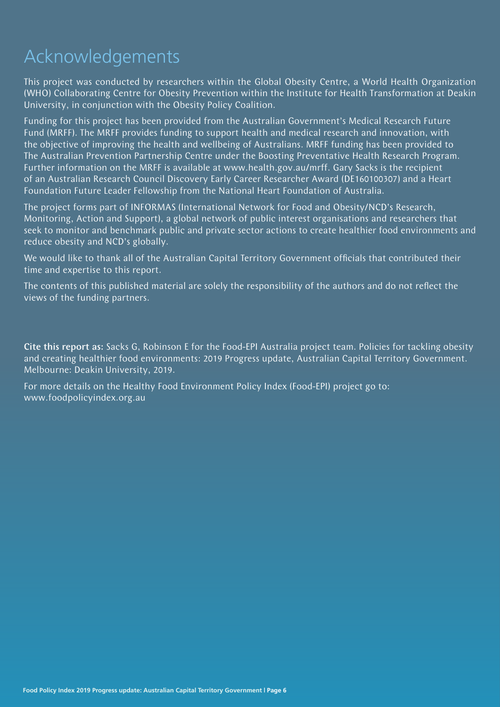# Acknowledgements

This project was conducted by researchers within the Global Obesity Centre, a World Health Organization (WHO) Collaborating Centre for Obesity Prevention within the Institute for Health Transformation at Deakin University, in conjunction with the Obesity Policy Coalition.

Funding for this project has been provided from the Australian Government's Medical Research Future Fund (MRFF). The MRFF provides funding to support health and medical research and innovation, with the objective of improving the health and wellbeing of Australians. MRFF funding has been provided to The Australian Prevention Partnership Centre under the Boosting Preventative Health Research Program. Further information on the MRFF is available at www.health.gov.au/mrff. Gary Sacks is the recipient of an Australian Research Council Discovery Early Career Researcher Award (DE160100307) and a Heart Foundation Future Leader Fellowship from the National Heart Foundation of Australia.

The project forms part of INFORMAS (International Network for Food and Obesity/NCD's Research, Monitoring, Action and Support), a global network of public interest organisations and researchers that seek to monitor and benchmark public and private sector actions to create healthier food environments and reduce obesity and NCD's globally.

We would like to thank all of the Australian Capital Territory Government officials that contributed their time and expertise to this report.

The contents of this published material are solely the responsibility of the authors and do not reflect the views of the funding partners.

Cite this report as: Sacks G, Robinson E for the Food-EPI Australia project team. Policies for tackling obesity and creating healthier food environments: 2019 Progress update, Australian Capital Territory Government. Melbourne: Deakin University, 2019.

For more details on the Healthy Food Environment Policy Index (Food-EPI) project go to: www.foodpolicyindex.org.au